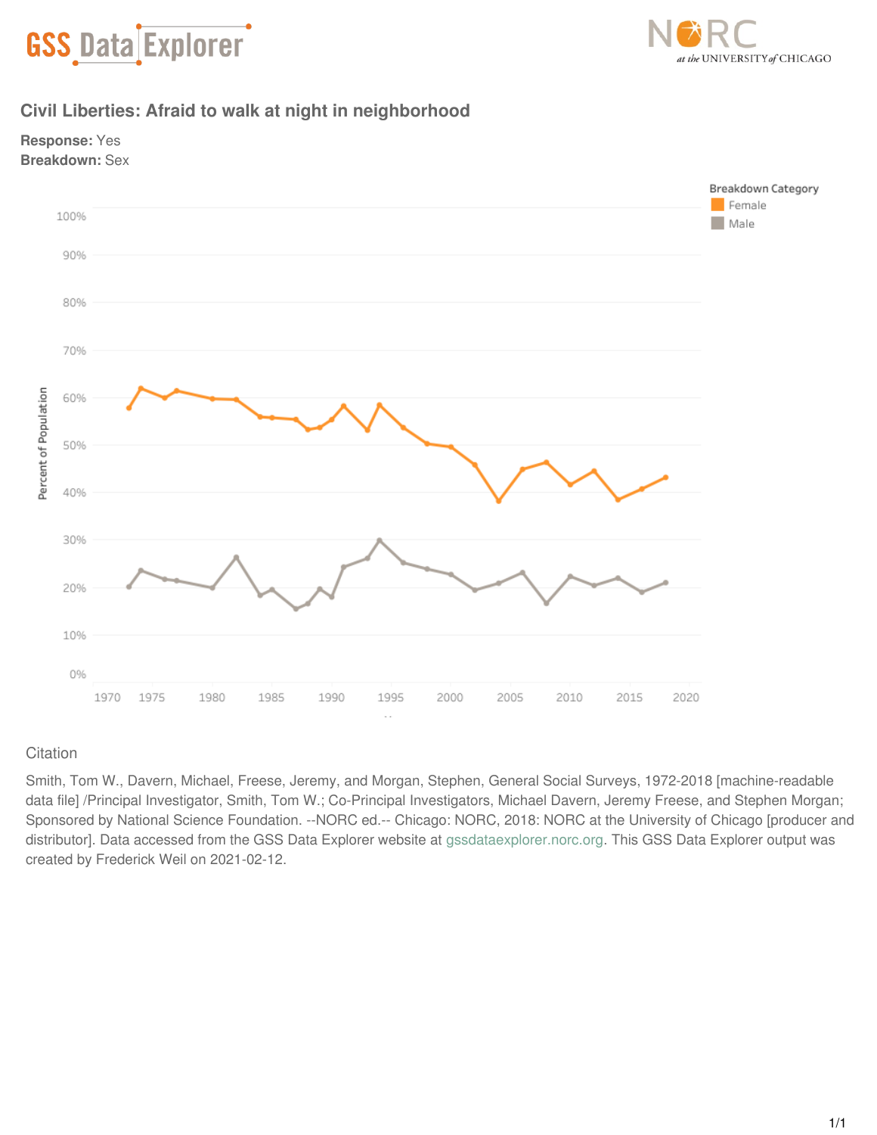



# **Civil Liberties: Afraid to walk at night in neighborhood**





## **Citation**

Smith, Tom W., Davern, Michael, Freese, Jeremy, and Morgan, Stephen, General Social Surveys, 1972-2018 [machine-readable data file] /Principal Investigator, Smith, Tom W.; Co-Principal Investigators, Michael Davern, Jeremy Freese, and Stephen Morgan; Sponsored by National Science Foundation. --NORC ed.-- Chicago: NORC, 2018: NORC at the University of Chicago [producer and distributor]. Data accessed from the GSS Data Explorer website at [gssdataexplorer.norc.org](http://gssdataexplorer.norc.org). This GSS Data Explorer output was created by Frederick Weil on 2021-02-12.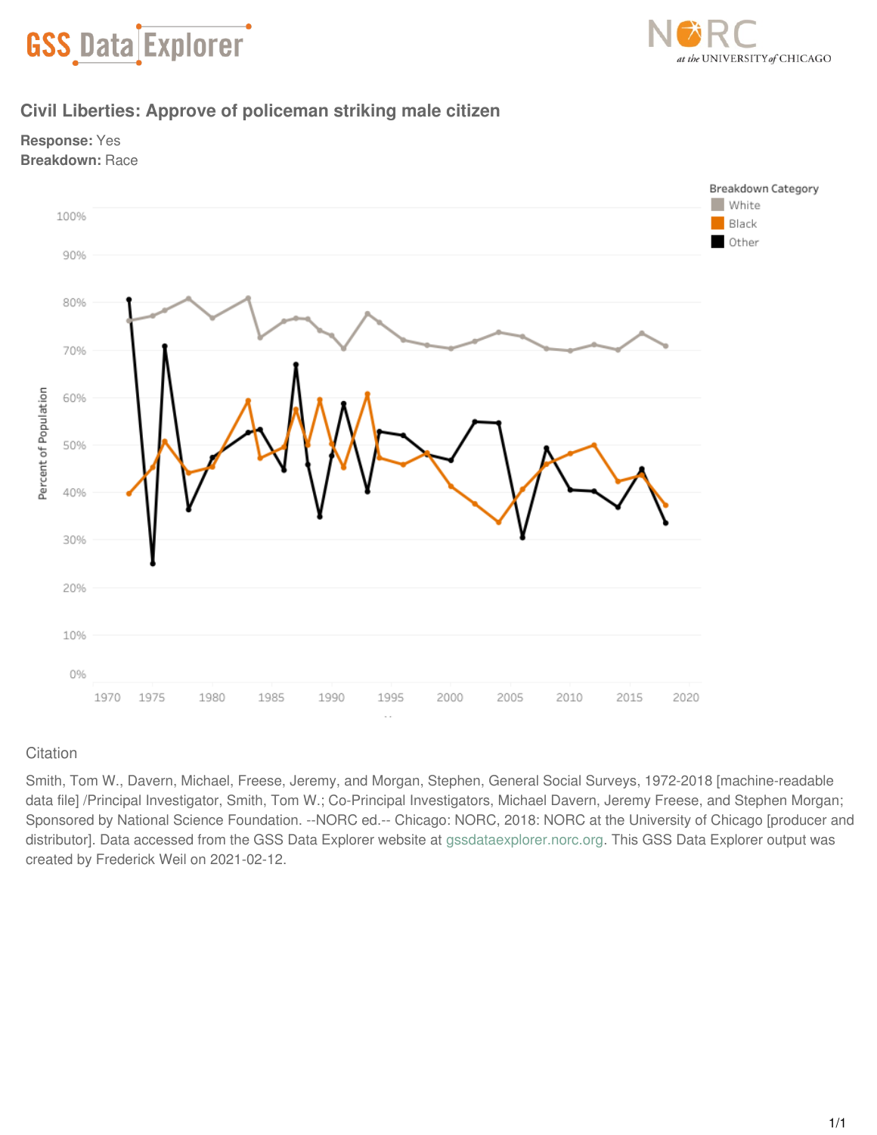



# **Civil Liberties: Approve of policeman striking male citizen**





## **Citation**

Smith, Tom W., Davern, Michael, Freese, Jeremy, and Morgan, Stephen, General Social Surveys, 1972-2018 [machine-readable data file] /Principal Investigator, Smith, Tom W.; Co-Principal Investigators, Michael Davern, Jeremy Freese, and Stephen Morgan; Sponsored by National Science Foundation. --NORC ed.-- Chicago: NORC, 2018: NORC at the University of Chicago [producer and distributor]. Data accessed from the GSS Data Explorer website at [gssdataexplorer.norc.org](http://gssdataexplorer.norc.org). This GSS Data Explorer output was created by Frederick Weil on 2021-02-12.